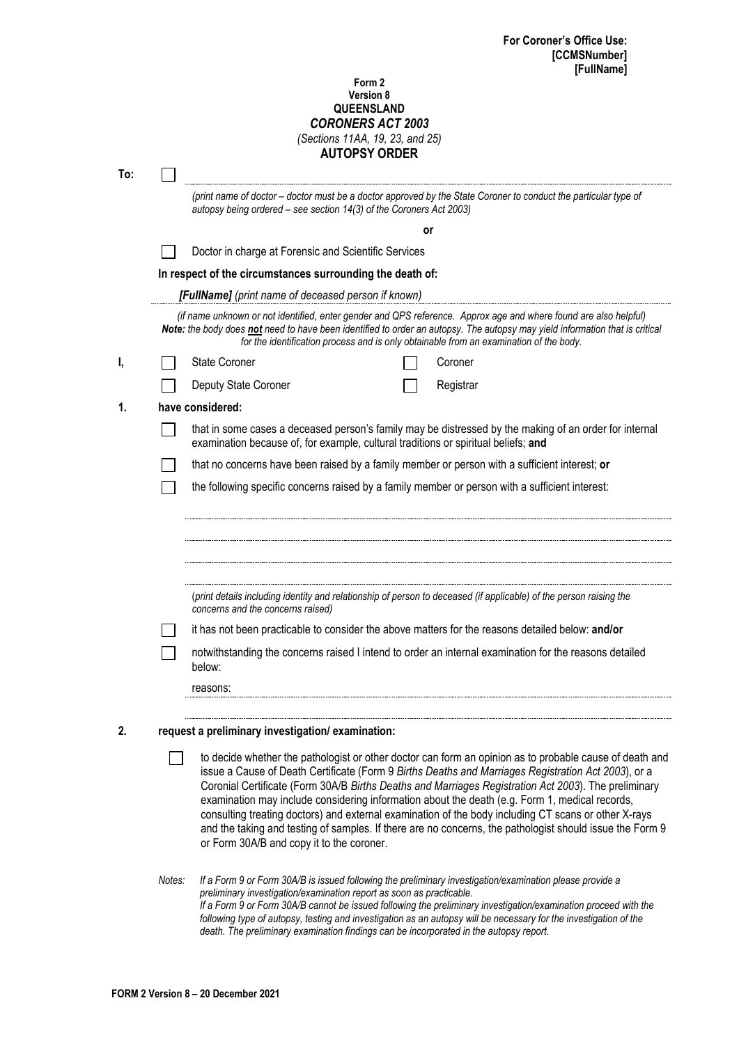## **Form 2 Version 8 QUEENSLAND** *CORONERS ACT 2003 (Sections 11AA, 19, 23, and 25)* **AUTOPSY ORDER**

| To: |                                                  |                                                                                                                                                                                                                                                                                                                                                                                                                                                                                                                                                                                                                                                                                           |  |  |  |  |  |
|-----|--------------------------------------------------|-------------------------------------------------------------------------------------------------------------------------------------------------------------------------------------------------------------------------------------------------------------------------------------------------------------------------------------------------------------------------------------------------------------------------------------------------------------------------------------------------------------------------------------------------------------------------------------------------------------------------------------------------------------------------------------------|--|--|--|--|--|
|     |                                                  | (print name of doctor - doctor must be a doctor approved by the State Coroner to conduct the particular type of<br>autopsy being ordered - see section 14(3) of the Coroners Act 2003)                                                                                                                                                                                                                                                                                                                                                                                                                                                                                                    |  |  |  |  |  |
|     | or                                               |                                                                                                                                                                                                                                                                                                                                                                                                                                                                                                                                                                                                                                                                                           |  |  |  |  |  |
|     |                                                  | Doctor in charge at Forensic and Scientific Services<br>In respect of the circumstances surrounding the death of:                                                                                                                                                                                                                                                                                                                                                                                                                                                                                                                                                                         |  |  |  |  |  |
|     |                                                  |                                                                                                                                                                                                                                                                                                                                                                                                                                                                                                                                                                                                                                                                                           |  |  |  |  |  |
|     |                                                  | [FullName] (print name of deceased person if known)                                                                                                                                                                                                                                                                                                                                                                                                                                                                                                                                                                                                                                       |  |  |  |  |  |
|     |                                                  | (if name unknown or not identified, enter gender and QPS reference. Approx age and where found are also helpful)<br>Note: the body does not need to have been identified to order an autopsy. The autopsy may yield information that is critical<br>for the identification process and is only obtainable from an examination of the body.                                                                                                                                                                                                                                                                                                                                                |  |  |  |  |  |
| ı,  |                                                  | <b>State Coroner</b><br>Coroner                                                                                                                                                                                                                                                                                                                                                                                                                                                                                                                                                                                                                                                           |  |  |  |  |  |
|     |                                                  | Deputy State Coroner<br>Registrar                                                                                                                                                                                                                                                                                                                                                                                                                                                                                                                                                                                                                                                         |  |  |  |  |  |
| 1.  |                                                  | have considered:                                                                                                                                                                                                                                                                                                                                                                                                                                                                                                                                                                                                                                                                          |  |  |  |  |  |
|     |                                                  | that in some cases a deceased person's family may be distressed by the making of an order for internal<br>examination because of, for example, cultural traditions or spiritual beliefs; and                                                                                                                                                                                                                                                                                                                                                                                                                                                                                              |  |  |  |  |  |
|     |                                                  | that no concerns have been raised by a family member or person with a sufficient interest; or                                                                                                                                                                                                                                                                                                                                                                                                                                                                                                                                                                                             |  |  |  |  |  |
|     |                                                  | the following specific concerns raised by a family member or person with a sufficient interest:                                                                                                                                                                                                                                                                                                                                                                                                                                                                                                                                                                                           |  |  |  |  |  |
|     |                                                  | (print details including identity and relationship of person to deceased (if applicable) of the person raising the<br>concerns and the concerns raised)                                                                                                                                                                                                                                                                                                                                                                                                                                                                                                                                   |  |  |  |  |  |
|     |                                                  | it has not been practicable to consider the above matters for the reasons detailed below: and/or                                                                                                                                                                                                                                                                                                                                                                                                                                                                                                                                                                                          |  |  |  |  |  |
|     |                                                  | notwithstanding the concerns raised I intend to order an internal examination for the reasons detailed<br>below:                                                                                                                                                                                                                                                                                                                                                                                                                                                                                                                                                                          |  |  |  |  |  |
|     |                                                  | reasons:                                                                                                                                                                                                                                                                                                                                                                                                                                                                                                                                                                                                                                                                                  |  |  |  |  |  |
| 2.  | request a preliminary investigation/examination: |                                                                                                                                                                                                                                                                                                                                                                                                                                                                                                                                                                                                                                                                                           |  |  |  |  |  |
|     |                                                  | to decide whether the pathologist or other doctor can form an opinion as to probable cause of death and<br>issue a Cause of Death Certificate (Form 9 Births Deaths and Marriages Registration Act 2003), or a<br>Coronial Certificate (Form 30A/B Births Deaths and Marriages Registration Act 2003). The preliminary<br>examination may include considering information about the death (e.g. Form 1, medical records,<br>consulting treating doctors) and external examination of the body including CT scans or other X-rays<br>and the taking and testing of samples. If there are no concerns, the pathologist should issue the Form 9<br>or Form 30A/B and copy it to the coroner. |  |  |  |  |  |
|     | Notes:                                           | If a Form 9 or Form 30A/B is issued following the preliminary investigation/examination please provide a<br>preliminary investigation/examination report as soon as practicable.                                                                                                                                                                                                                                                                                                                                                                                                                                                                                                          |  |  |  |  |  |